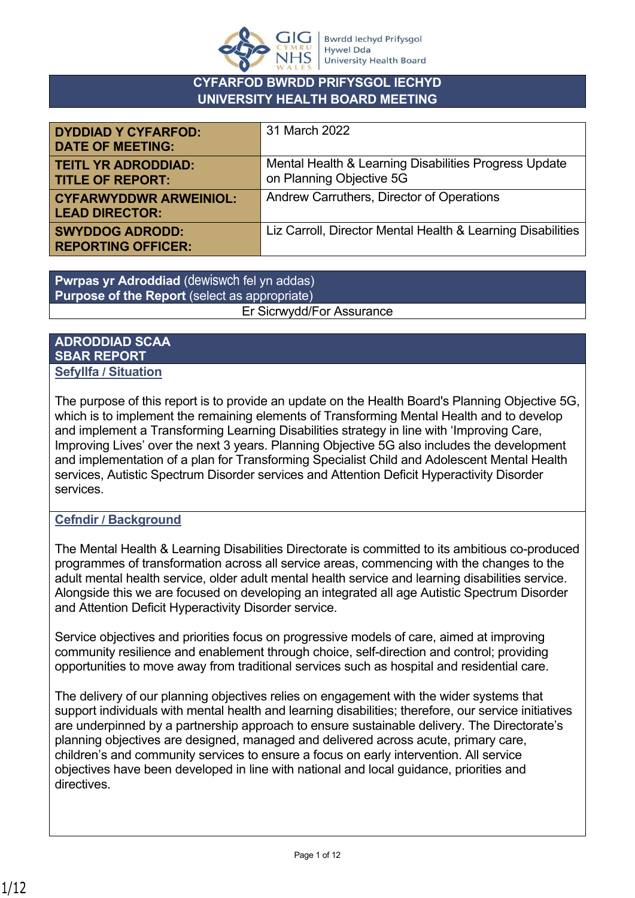

## **CYFARFOD BWRDD PRIFYSGOL IECHYD UNIVERSITY HEALTH BOARD MEETING**

| <b>DYDDIAD Y CYFARFOD:</b><br><b>DATE OF MEETING:</b>  | 31 March 2022                                                                     |
|--------------------------------------------------------|-----------------------------------------------------------------------------------|
| <b>TEITL YR ADRODDIAD:</b><br><b>TITLE OF REPORT:</b>  | Mental Health & Learning Disabilities Progress Update<br>on Planning Objective 5G |
| <b>CYFARWYDDWR ARWEINIOL:</b><br><b>LEAD DIRECTOR:</b> | Andrew Carruthers, Director of Operations                                         |
| <b>SWYDDOG ADRODD:</b><br><b>REPORTING OFFICER:</b>    | Liz Carroll, Director Mental Health & Learning Disabilities                       |

**Pwrpas yr Adroddiad** (dewiswch fel yn addas) **Purpose of the Report** (select as appropriate) Er Sicrwydd/For Assurance

#### **ADRODDIAD SCAA SBAR REPORT Sefyllfa / Situation**

The purpose of this report is to provide an update on the Health Board's Planning Objective 5G, which is to implement the remaining elements of Transforming Mental Health and to develop and implement a Transforming Learning Disabilities strategy in line with 'Improving Care, Improving Lives' over the next 3 years. Planning Objective 5G also includes the development and implementation of a plan for Transforming Specialist Child and Adolescent Mental Health services, Autistic Spectrum Disorder services and Attention Deficit Hyperactivity Disorder services.

## **Cefndir / Background**

The Mental Health & Learning Disabilities Directorate is committed to its ambitious co-produced programmes of transformation across all service areas, commencing with the changes to the adult mental health service, older adult mental health service and learning disabilities service. Alongside this we are focused on developing an integrated all age Autistic Spectrum Disorder and Attention Deficit Hyperactivity Disorder service.

Service objectives and priorities focus on progressive models of care, aimed at improving community resilience and enablement through choice, self-direction and control; providing opportunities to move away from traditional services such as hospital and residential care.

The delivery of our planning objectives relies on engagement with the wider systems that support individuals with mental health and learning disabilities; therefore, our service initiatives are underpinned by a partnership approach to ensure sustainable delivery. The Directorate's planning objectives are designed, managed and delivered across acute, primary care, children's and community services to ensure a focus on early intervention. All service objectives have been developed in line with national and local guidance, priorities and directives.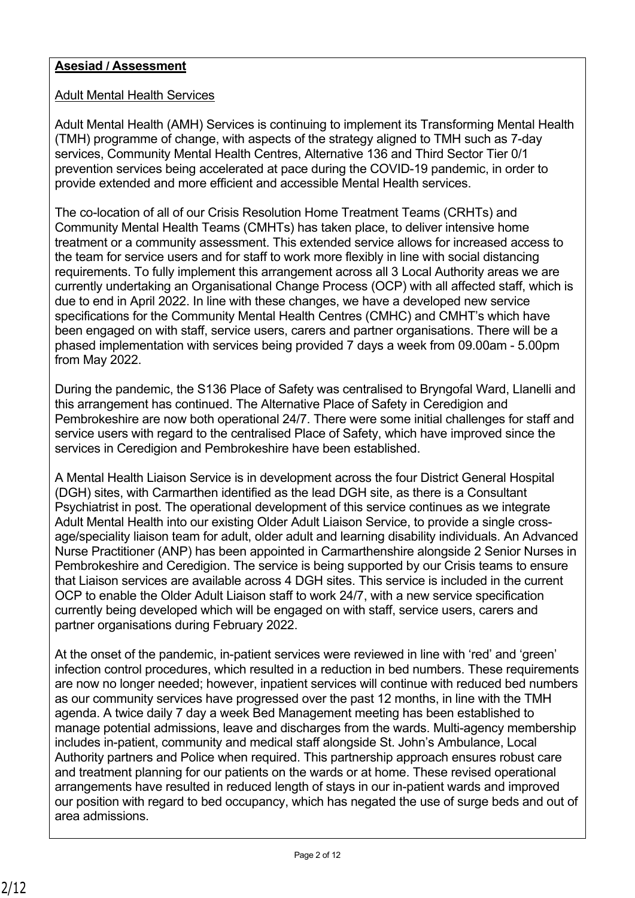### **Asesiad / Assessment**

#### Adult Mental Health Services

Adult Mental Health (AMH) Services is continuing to implement its Transforming Mental Health (TMH) programme of change, with aspects of the strategy aligned to TMH such as 7-day services, Community Mental Health Centres, Alternative 136 and Third Sector Tier 0/1 prevention services being accelerated at pace during the COVID-19 pandemic, in order to provide extended and more efficient and accessible Mental Health services.

The co-location of all of our Crisis Resolution Home Treatment Teams (CRHTs) and Community Mental Health Teams (CMHTs) has taken place, to deliver intensive home treatment or a community assessment. This extended service allows for increased access to the team for service users and for staff to work more flexibly in line with social distancing requirements. To fully implement this arrangement across all 3 Local Authority areas we are currently undertaking an Organisational Change Process (OCP) with all affected staff, which is due to end in April 2022. In line with these changes, we have a developed new service specifications for the Community Mental Health Centres (CMHC) and CMHT's which have been engaged on with staff, service users, carers and partner organisations. There will be a phased implementation with services being provided 7 days a week from 09.00am - 5.00pm from May 2022.

During the pandemic, the S136 Place of Safety was centralised to Bryngofal Ward, Llanelli and this arrangement has continued. The Alternative Place of Safety in Ceredigion and Pembrokeshire are now both operational 24/7. There were some initial challenges for staff and service users with regard to the centralised Place of Safety, which have improved since the services in Ceredigion and Pembrokeshire have been established.

A Mental Health Liaison Service is in development across the four District General Hospital (DGH) sites, with Carmarthen identified as the lead DGH site, as there is a Consultant Psychiatrist in post. The operational development of this service continues as we integrate Adult Mental Health into our existing Older Adult Liaison Service, to provide a single crossage/speciality liaison team for adult, older adult and learning disability individuals. An Advanced Nurse Practitioner (ANP) has been appointed in Carmarthenshire alongside 2 Senior Nurses in Pembrokeshire and Ceredigion. The service is being supported by our Crisis teams to ensure that Liaison services are available across 4 DGH sites. This service is included in the current OCP to enable the Older Adult Liaison staff to work 24/7, with a new service specification currently being developed which will be engaged on with staff, service users, carers and partner organisations during February 2022.

At the onset of the pandemic, in-patient services were reviewed in line with 'red' and 'green' infection control procedures, which resulted in a reduction in bed numbers. These requirements are now no longer needed; however, inpatient services will continue with reduced bed numbers as our community services have progressed over the past 12 months, in line with the TMH agenda. A twice daily 7 day a week Bed Management meeting has been established to manage potential admissions, leave and discharges from the wards. Multi-agency membership includes in-patient, community and medical staff alongside St. John's Ambulance, Local Authority partners and Police when required. This partnership approach ensures robust care and treatment planning for our patients on the wards or at home. These revised operational arrangements have resulted in reduced length of stays in our in-patient wards and improved our position with regard to bed occupancy, which has negated the use of surge beds and out of area admissions.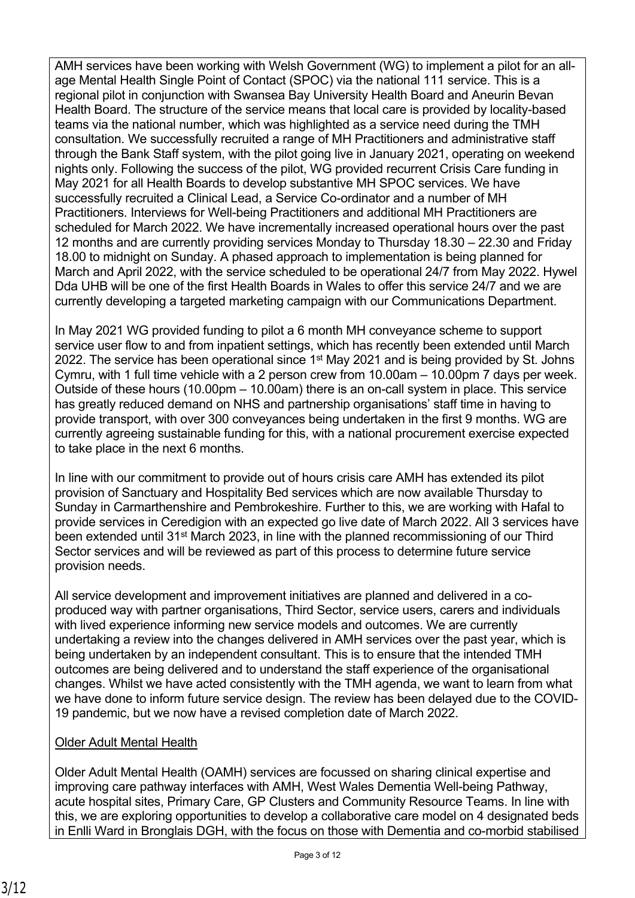AMH services have been working with Welsh Government (WG) to implement a pilot for an allage Mental Health Single Point of Contact (SPOC) via the national 111 service. This is a regional pilot in conjunction with Swansea Bay University Health Board and Aneurin Bevan Health Board. The structure of the service means that local care is provided by locality-based teams via the national number, which was highlighted as a service need during the TMH consultation. We successfully recruited a range of MH Practitioners and administrative staff through the Bank Staff system, with the pilot going live in January 2021, operating on weekend nights only. Following the success of the pilot, WG provided recurrent Crisis Care funding in May 2021 for all Health Boards to develop substantive MH SPOC services. We have successfully recruited a Clinical Lead, a Service Co-ordinator and a number of MH Practitioners. Interviews for Well-being Practitioners and additional MH Practitioners are scheduled for March 2022. We have incrementally increased operational hours over the past 12 months and are currently providing services Monday to Thursday 18.30 – 22.30 and Friday 18.00 to midnight on Sunday. A phased approach to implementation is being planned for March and April 2022, with the service scheduled to be operational 24/7 from May 2022. Hywel Dda UHB will be one of the first Health Boards in Wales to offer this service 24/7 and we are currently developing a targeted marketing campaign with our Communications Department.

In May 2021 WG provided funding to pilot a 6 month MH conveyance scheme to support service user flow to and from inpatient settings, which has recently been extended until March 2022. The service has been operational since  $1<sup>st</sup>$  May 2021 and is being provided by St. Johns Cymru, with 1 full time vehicle with a 2 person crew from 10.00am – 10.00pm 7 days per week. Outside of these hours (10.00pm – 10.00am) there is an on-call system in place. This service has greatly reduced demand on NHS and partnership organisations' staff time in having to provide transport, with over 300 conveyances being undertaken in the first 9 months. WG are currently agreeing sustainable funding for this, with a national procurement exercise expected to take place in the next 6 months.

In line with our commitment to provide out of hours crisis care AMH has extended its pilot provision of Sanctuary and Hospitality Bed services which are now available Thursday to Sunday in Carmarthenshire and Pembrokeshire. Further to this, we are working with Hafal to provide services in Ceredigion with an expected go live date of March 2022. All 3 services have been extended until 31st March 2023, in line with the planned recommissioning of our Third Sector services and will be reviewed as part of this process to determine future service provision needs.

All service development and improvement initiatives are planned and delivered in a coproduced way with partner organisations, Third Sector, service users, carers and individuals with lived experience informing new service models and outcomes. We are currently undertaking a review into the changes delivered in AMH services over the past year, which is being undertaken by an independent consultant. This is to ensure that the intended TMH outcomes are being delivered and to understand the staff experience of the organisational changes. Whilst we have acted consistently with the TMH agenda, we want to learn from what we have done to inform future service design. The review has been delayed due to the COVID-19 pandemic, but we now have a revised completion date of March 2022.

## Older Adult Mental Health

Older Adult Mental Health (OAMH) services are focussed on sharing clinical expertise and improving care pathway interfaces with AMH, West Wales Dementia Well-being Pathway, acute hospital sites, Primary Care, GP Clusters and Community Resource Teams. In line with this, we are exploring opportunities to develop a collaborative care model on 4 designated beds in Enlli Ward in Bronglais DGH, with the focus on those with Dementia and co-morbid stabilised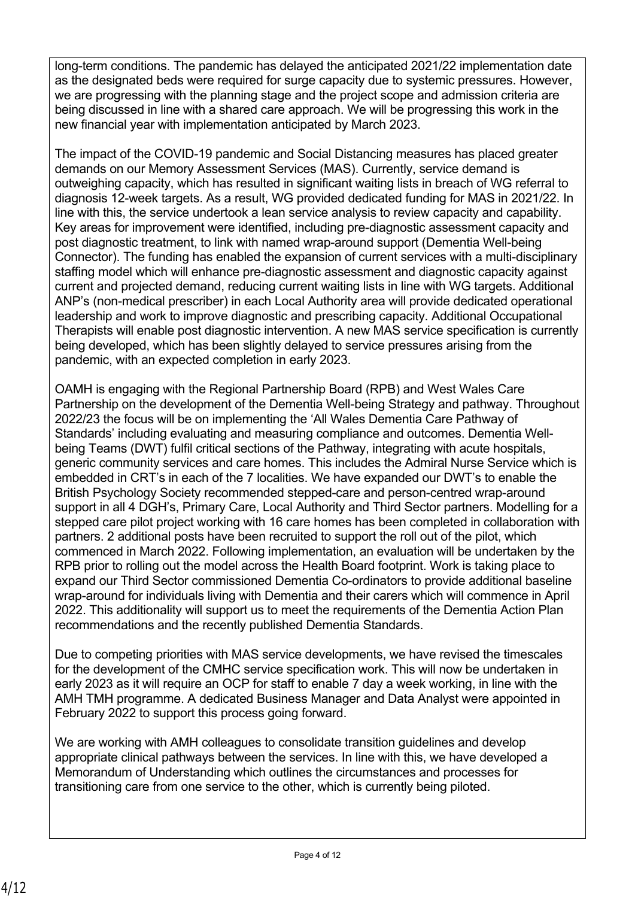long-term conditions. The pandemic has delayed the anticipated 2021/22 implementation date as the designated beds were required for surge capacity due to systemic pressures. However, we are progressing with the planning stage and the project scope and admission criteria are being discussed in line with a shared care approach. We will be progressing this work in the new financial year with implementation anticipated by March 2023.

The impact of the COVID-19 pandemic and Social Distancing measures has placed greater demands on our Memory Assessment Services (MAS). Currently, service demand is outweighing capacity, which has resulted in significant waiting lists in breach of WG referral to diagnosis 12-week targets. As a result, WG provided dedicated funding for MAS in 2021/22. In line with this, the service undertook a lean service analysis to review capacity and capability. Key areas for improvement were identified, including pre-diagnostic assessment capacity and post diagnostic treatment, to link with named wrap-around support (Dementia Well-being Connector). The funding has enabled the expansion of current services with a multi-disciplinary staffing model which will enhance pre-diagnostic assessment and diagnostic capacity against current and projected demand, reducing current waiting lists in line with WG targets. Additional ANP's (non-medical prescriber) in each Local Authority area will provide dedicated operational leadership and work to improve diagnostic and prescribing capacity. Additional Occupational Therapists will enable post diagnostic intervention. A new MAS service specification is currently being developed, which has been slightly delayed to service pressures arising from the pandemic, with an expected completion in early 2023.

OAMH is engaging with the Regional Partnership Board (RPB) and West Wales Care Partnership on the development of the Dementia Well-being Strategy and pathway. Throughout 2022/23 the focus will be on implementing the 'All Wales Dementia Care Pathway of Standards' including evaluating and measuring compliance and outcomes. Dementia Wellbeing Teams (DWT) fulfil critical sections of the Pathway, integrating with acute hospitals, generic community services and care homes. This includes the Admiral Nurse Service which is embedded in CRT's in each of the 7 localities. We have expanded our DWT's to enable the British Psychology Society recommended stepped-care and person-centred wrap-around support in all 4 DGH's, Primary Care, Local Authority and Third Sector partners. Modelling for a stepped care pilot project working with 16 care homes has been completed in collaboration with partners. 2 additional posts have been recruited to support the roll out of the pilot, which commenced in March 2022. Following implementation, an evaluation will be undertaken by the RPB prior to rolling out the model across the Health Board footprint. Work is taking place to expand our Third Sector commissioned Dementia Co-ordinators to provide additional baseline wrap-around for individuals living with Dementia and their carers which will commence in April 2022. This additionality will support us to meet the requirements of the Dementia Action Plan recommendations and the recently published Dementia Standards.

Due to competing priorities with MAS service developments, we have revised the timescales for the development of the CMHC service specification work. This will now be undertaken in early 2023 as it will require an OCP for staff to enable 7 day a week working, in line with the AMH TMH programme. A dedicated Business Manager and Data Analyst were appointed in February 2022 to support this process going forward.

We are working with AMH colleagues to consolidate transition guidelines and develop appropriate clinical pathways between the services. In line with this, we have developed a Memorandum of Understanding which outlines the circumstances and processes for transitioning care from one service to the other, which is currently being piloted.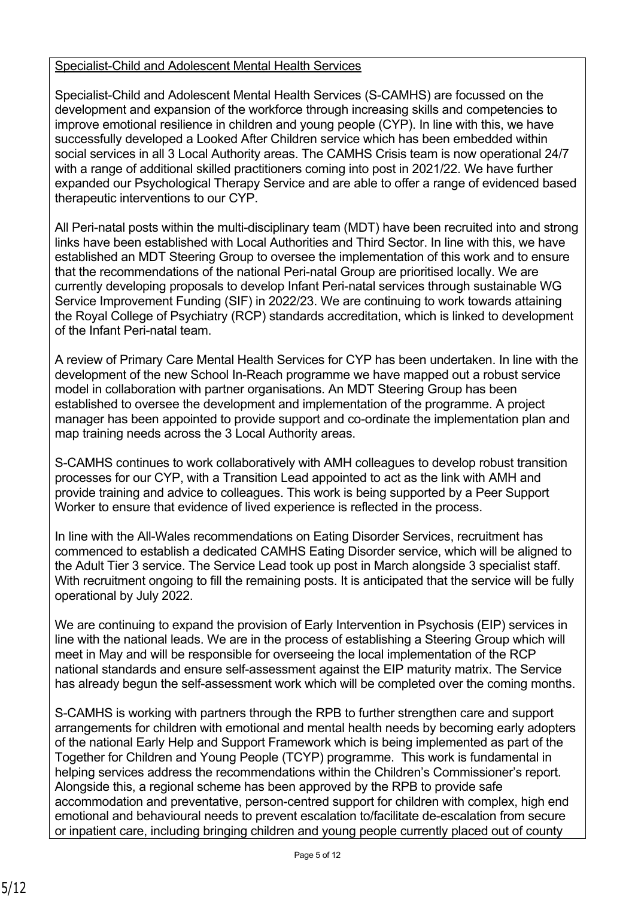### Specialist-Child and Adolescent Mental Health Services

Specialist-Child and Adolescent Mental Health Services (S-CAMHS) are focussed on the development and expansion of the workforce through increasing skills and competencies to improve emotional resilience in children and young people (CYP). In line with this, we have successfully developed a Looked After Children service which has been embedded within social services in all 3 Local Authority areas. The CAMHS Crisis team is now operational 24/7 with a range of additional skilled practitioners coming into post in 2021/22. We have further expanded our Psychological Therapy Service and are able to offer a range of evidenced based therapeutic interventions to our CYP.

All Peri-natal posts within the multi-disciplinary team (MDT) have been recruited into and strong links have been established with Local Authorities and Third Sector. In line with this, we have established an MDT Steering Group to oversee the implementation of this work and to ensure that the recommendations of the national Peri-natal Group are prioritised locally. We are currently developing proposals to develop Infant Peri-natal services through sustainable WG Service Improvement Funding (SIF) in 2022/23. We are continuing to work towards attaining the Royal College of Psychiatry (RCP) standards accreditation, which is linked to development of the Infant Peri-natal team.

A review of Primary Care Mental Health Services for CYP has been undertaken. In line with the development of the new School In-Reach programme we have mapped out a robust service model in collaboration with partner organisations. An MDT Steering Group has been established to oversee the development and implementation of the programme. A project manager has been appointed to provide support and co-ordinate the implementation plan and map training needs across the 3 Local Authority areas.

S-CAMHS continues to work collaboratively with AMH colleagues to develop robust transition processes for our CYP, with a Transition Lead appointed to act as the link with AMH and provide training and advice to colleagues. This work is being supported by a Peer Support Worker to ensure that evidence of lived experience is reflected in the process.

In line with the All-Wales recommendations on Eating Disorder Services, recruitment has commenced to establish a dedicated CAMHS Eating Disorder service, which will be aligned to the Adult Tier 3 service. The Service Lead took up post in March alongside 3 specialist staff. With recruitment ongoing to fill the remaining posts. It is anticipated that the service will be fully operational by July 2022.

We are continuing to expand the provision of Early Intervention in Psychosis (EIP) services in line with the national leads. We are in the process of establishing a Steering Group which will meet in May and will be responsible for overseeing the local implementation of the RCP national standards and ensure self-assessment against the EIP maturity matrix. The Service has already begun the self-assessment work which will be completed over the coming months.

S-CAMHS is working with partners through the RPB to further strengthen care and support arrangements for children with emotional and mental health needs by becoming early adopters of the national Early Help and Support Framework which is being implemented as part of the Together for Children and Young People (TCYP) programme. This work is fundamental in helping services address the recommendations within the Children's Commissioner's report. Alongside this, a regional scheme has been approved by the RPB to provide safe accommodation and preventative, person-centred support for children with complex, high end emotional and behavioural needs to prevent escalation to/facilitate de-escalation from secure or inpatient care, including bringing children and young people currently placed out of county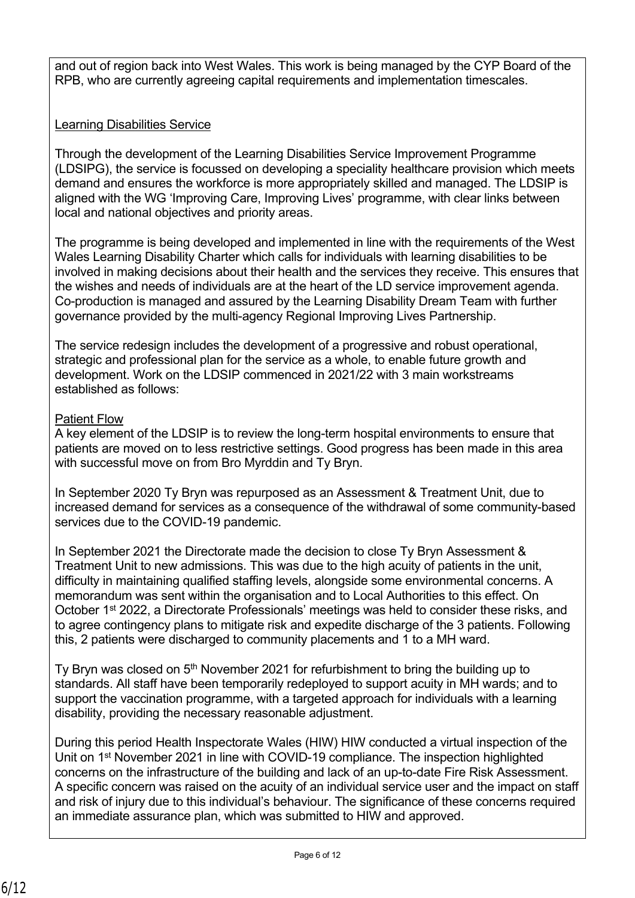and out of region back into West Wales. This work is being managed by the CYP Board of the RPB, who are currently agreeing capital requirements and implementation timescales.

# Learning Disabilities Service

Through the development of the Learning Disabilities Service Improvement Programme (LDSIPG), the service is focussed on developing a speciality healthcare provision which meets demand and ensures the workforce is more appropriately skilled and managed. The LDSIP is aligned with the WG 'Improving Care, Improving Lives' programme, with clear links between local and national objectives and priority areas.

The programme is being developed and implemented in line with the requirements of the West Wales Learning Disability Charter which calls for individuals with learning disabilities to be involved in making decisions about their health and the services they receive. This ensures that the wishes and needs of individuals are at the heart of the LD service improvement agenda. Co-production is managed and assured by the Learning Disability Dream Team with further governance provided by the multi-agency Regional Improving Lives Partnership.

The service redesign includes the development of a progressive and robust operational, strategic and professional plan for the service as a whole, to enable future growth and development. Work on the LDSIP commenced in 2021/22 with 3 main workstreams established as follows:

#### Patient Flow

A key element of the LDSIP is to review the long-term hospital environments to ensure that patients are moved on to less restrictive settings. Good progress has been made in this area with successful move on from Bro Myrddin and Ty Bryn.

In September 2020 Ty Bryn was repurposed as an Assessment & Treatment Unit, due to increased demand for services as a consequence of the withdrawal of some community-based services due to the COVID-19 pandemic.

In September 2021 the Directorate made the decision to close Ty Bryn Assessment & Treatment Unit to new admissions. This was due to the high acuity of patients in the unit, difficulty in maintaining qualified staffing levels, alongside some environmental concerns. A memorandum was sent within the organisation and to Local Authorities to this effect. On October 1<sup>st</sup> 2022, a Directorate Professionals' meetings was held to consider these risks, and to agree contingency plans to mitigate risk and expedite discharge of the 3 patients. Following this, 2 patients were discharged to community placements and 1 to a MH ward.

Tv Brvn was closed on  $5<sup>th</sup>$  November 2021 for refurbishment to bring the building up to standards. All staff have been temporarily redeployed to support acuity in MH wards; and to support the vaccination programme, with a targeted approach for individuals with a learning disability, providing the necessary reasonable adjustment.

During this period Health Inspectorate Wales (HIW) HIW conducted a virtual inspection of the Unit on 1<sup>st</sup> November 2021 in line with COVID-19 compliance. The inspection highlighted concerns on the infrastructure of the building and lack of an up-to-date Fire Risk Assessment. A specific concern was raised on the acuity of an individual service user and the impact on staff and risk of injury due to this individual's behaviour. The significance of these concerns required an immediate assurance plan, which was submitted to HIW and approved.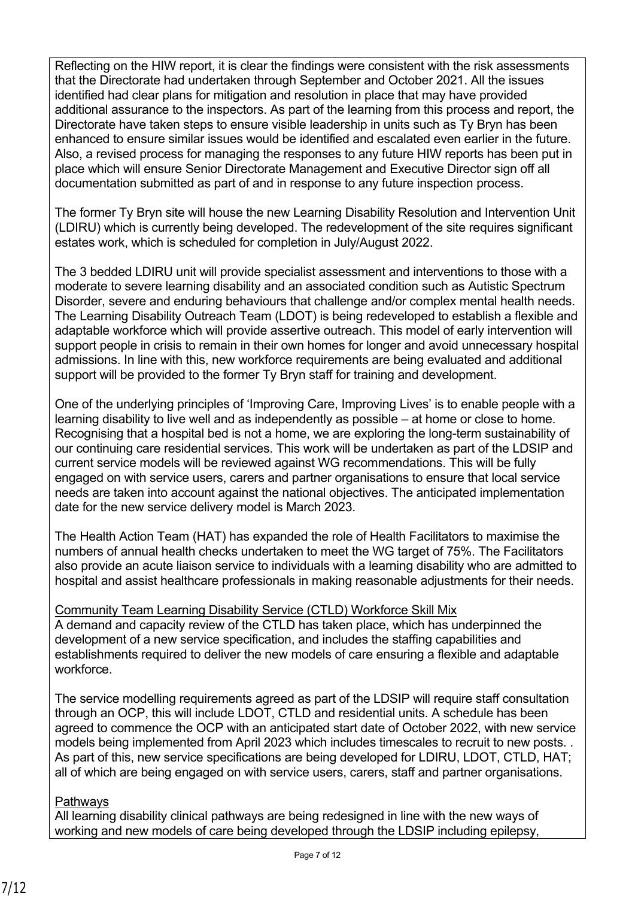Reflecting on the HIW report, it is clear the findings were consistent with the risk assessments that the Directorate had undertaken through September and October 2021. All the issues identified had clear plans for mitigation and resolution in place that may have provided additional assurance to the inspectors. As part of the learning from this process and report, the Directorate have taken steps to ensure visible leadership in units such as Ty Bryn has been enhanced to ensure similar issues would be identified and escalated even earlier in the future. Also, a revised process for managing the responses to any future HIW reports has been put in place which will ensure Senior Directorate Management and Executive Director sign off all documentation submitted as part of and in response to any future inspection process.

The former Ty Bryn site will house the new Learning Disability Resolution and Intervention Unit (LDIRU) which is currently being developed. The redevelopment of the site requires significant estates work, which is scheduled for completion in July/August 2022.

The 3 bedded LDIRU unit will provide specialist assessment and interventions to those with a moderate to severe learning disability and an associated condition such as Autistic Spectrum Disorder, severe and enduring behaviours that challenge and/or complex mental health needs. The Learning Disability Outreach Team (LDOT) is being redeveloped to establish a flexible and adaptable workforce which will provide assertive outreach. This model of early intervention will support people in crisis to remain in their own homes for longer and avoid unnecessary hospital admissions. In line with this, new workforce requirements are being evaluated and additional support will be provided to the former Ty Bryn staff for training and development.

One of the underlying principles of 'Improving Care, Improving Lives' is to enable people with a learning disability to live well and as independently as possible – at home or close to home. Recognising that a hospital bed is not a home, we are exploring the long-term sustainability of our continuing care residential services. This work will be undertaken as part of the LDSIP and current service models will be reviewed against WG recommendations. This will be fully engaged on with service users, carers and partner organisations to ensure that local service needs are taken into account against the national objectives. The anticipated implementation date for the new service delivery model is March 2023.

The Health Action Team (HAT) has expanded the role of Health Facilitators to maximise the numbers of annual health checks undertaken to meet the WG target of 75%. The Facilitators also provide an acute liaison service to individuals with a learning disability who are admitted to hospital and assist healthcare professionals in making reasonable adjustments for their needs.

Community Team Learning Disability Service (CTLD) Workforce Skill Mix A demand and capacity review of the CTLD has taken place, which has underpinned the development of a new service specification, and includes the staffing capabilities and establishments required to deliver the new models of care ensuring a flexible and adaptable workforce.

The service modelling requirements agreed as part of the LDSIP will require staff consultation through an OCP, this will include LDOT, CTLD and residential units. A schedule has been agreed to commence the OCP with an anticipated start date of October 2022, with new service models being implemented from April 2023 which includes timescales to recruit to new posts. . As part of this, new service specifications are being developed for LDIRU, LDOT, CTLD, HAT; all of which are being engaged on with service users, carers, staff and partner organisations.

## **Pathways**

All learning disability clinical pathways are being redesigned in line with the new ways of working and new models of care being developed through the LDSIP including epilepsy,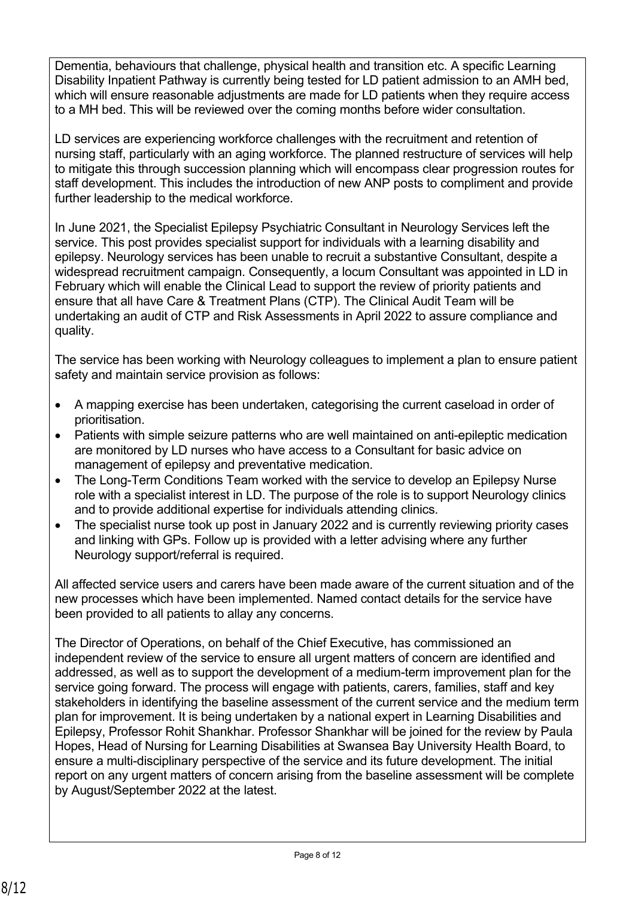Dementia, behaviours that challenge, physical health and transition etc. A specific Learning Disability Inpatient Pathway is currently being tested for LD patient admission to an AMH bed, which will ensure reasonable adjustments are made for LD patients when they require access to a MH bed. This will be reviewed over the coming months before wider consultation.

LD services are experiencing workforce challenges with the recruitment and retention of nursing staff, particularly with an aging workforce. The planned restructure of services will help to mitigate this through succession planning which will encompass clear progression routes for staff development. This includes the introduction of new ANP posts to compliment and provide further leadership to the medical workforce.

In June 2021, the Specialist Epilepsy Psychiatric Consultant in Neurology Services left the service. This post provides specialist support for individuals with a learning disability and epilepsy. Neurology services has been unable to recruit a substantive Consultant, despite a widespread recruitment campaign. Consequently, a locum Consultant was appointed in LD in February which will enable the Clinical Lead to support the review of priority patients and ensure that all have Care & Treatment Plans (CTP). The Clinical Audit Team will be undertaking an audit of CTP and Risk Assessments in April 2022 to assure compliance and quality.

The service has been working with Neurology colleagues to implement a plan to ensure patient safety and maintain service provision as follows:

- A mapping exercise has been undertaken, categorising the current caseload in order of prioritisation.
- Patients with simple seizure patterns who are well maintained on anti-epileptic medication are monitored by LD nurses who have access to a Consultant for basic advice on management of epilepsy and preventative medication.
- The Long-Term Conditions Team worked with the service to develop an Epilepsy Nurse role with a specialist interest in LD. The purpose of the role is to support Neurology clinics and to provide additional expertise for individuals attending clinics.
- The specialist nurse took up post in January 2022 and is currently reviewing priority cases and linking with GPs. Follow up is provided with a letter advising where any further Neurology support/referral is required.

All affected service users and carers have been made aware of the current situation and of the new processes which have been implemented. Named contact details for the service have been provided to all patients to allay any concerns.

The Director of Operations, on behalf of the Chief Executive, has commissioned an independent review of the service to ensure all urgent matters of concern are identified and addressed, as well as to support the development of a medium-term improvement plan for the service going forward. The process will engage with patients, carers, families, staff and key stakeholders in identifying the baseline assessment of the current service and the medium term plan for improvement. It is being undertaken by a national expert in Learning Disabilities and Epilepsy, Professor Rohit Shankhar. Professor Shankhar will be joined for the review by Paula Hopes, Head of Nursing for Learning Disabilities at Swansea Bay University Health Board, to ensure a multi-disciplinary perspective of the service and its future development. The initial report on any urgent matters of concern arising from the baseline assessment will be complete by August/September 2022 at the latest.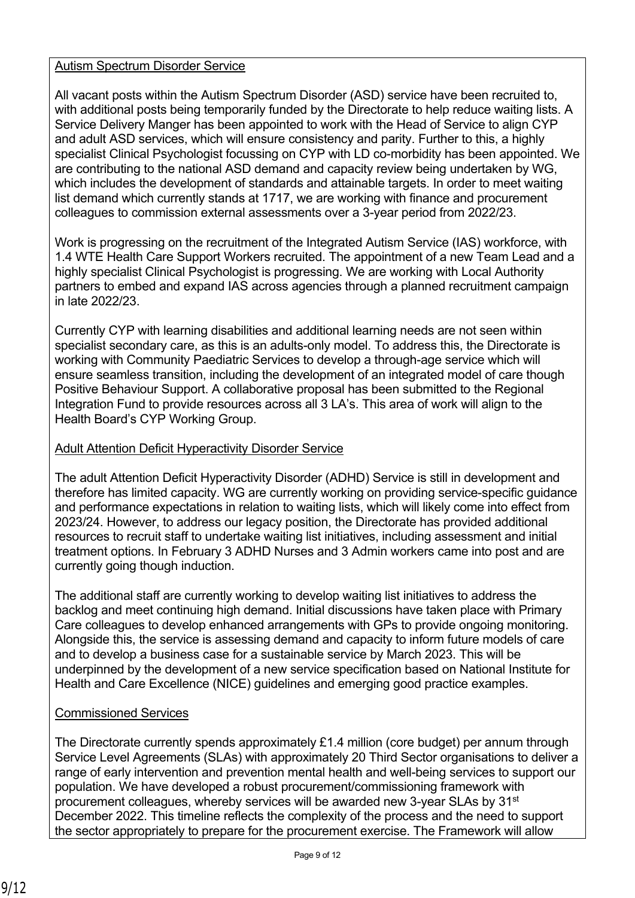### Autism Spectrum Disorder Service

All vacant posts within the Autism Spectrum Disorder (ASD) service have been recruited to, with additional posts being temporarily funded by the Directorate to help reduce waiting lists. A Service Delivery Manger has been appointed to work with the Head of Service to align CYP and adult ASD services, which will ensure consistency and parity. Further to this, a highly specialist Clinical Psychologist focussing on CYP with LD co-morbidity has been appointed. We are contributing to the national ASD demand and capacity review being undertaken by WG, which includes the development of standards and attainable targets. In order to meet waiting list demand which currently stands at 1717, we are working with finance and procurement colleagues to commission external assessments over a 3-year period from 2022/23.

Work is progressing on the recruitment of the Integrated Autism Service (IAS) workforce, with 1.4 WTE Health Care Support Workers recruited. The appointment of a new Team Lead and a highly specialist Clinical Psychologist is progressing. We are working with Local Authority partners to embed and expand IAS across agencies through a planned recruitment campaign in late 2022/23.

Currently CYP with learning disabilities and additional learning needs are not seen within specialist secondary care, as this is an adults-only model. To address this, the Directorate is working with Community Paediatric Services to develop a through-age service which will ensure seamless transition, including the development of an integrated model of care though Positive Behaviour Support. A collaborative proposal has been submitted to the Regional Integration Fund to provide resources across all 3 LA's. This area of work will align to the Health Board's CYP Working Group.

### Adult Attention Deficit Hyperactivity Disorder Service

The adult Attention Deficit Hyperactivity Disorder (ADHD) Service is still in development and therefore has limited capacity. WG are currently working on providing service-specific guidance and performance expectations in relation to waiting lists, which will likely come into effect from 2023/24. However, to address our legacy position, the Directorate has provided additional resources to recruit staff to undertake waiting list initiatives, including assessment and initial treatment options. In February 3 ADHD Nurses and 3 Admin workers came into post and are currently going though induction.

The additional staff are currently working to develop waiting list initiatives to address the backlog and meet continuing high demand. Initial discussions have taken place with Primary Care colleagues to develop enhanced arrangements with GPs to provide ongoing monitoring. Alongside this, the service is assessing demand and capacity to inform future models of care and to develop a business case for a sustainable service by March 2023. This will be underpinned by the development of a new service specification based on National Institute for Health and Care Excellence (NICE) guidelines and emerging good practice examples.

## Commissioned Services

The Directorate currently spends approximately £1.4 million (core budget) per annum through Service Level Agreements (SLAs) with approximately 20 Third Sector organisations to deliver a range of early intervention and prevention mental health and well-being services to support our population. We have developed a robust procurement/commissioning framework with procurement colleagues, whereby services will be awarded new 3-year SLAs by 31st December 2022. This timeline reflects the complexity of the process and the need to support the sector appropriately to prepare for the procurement exercise. The Framework will allow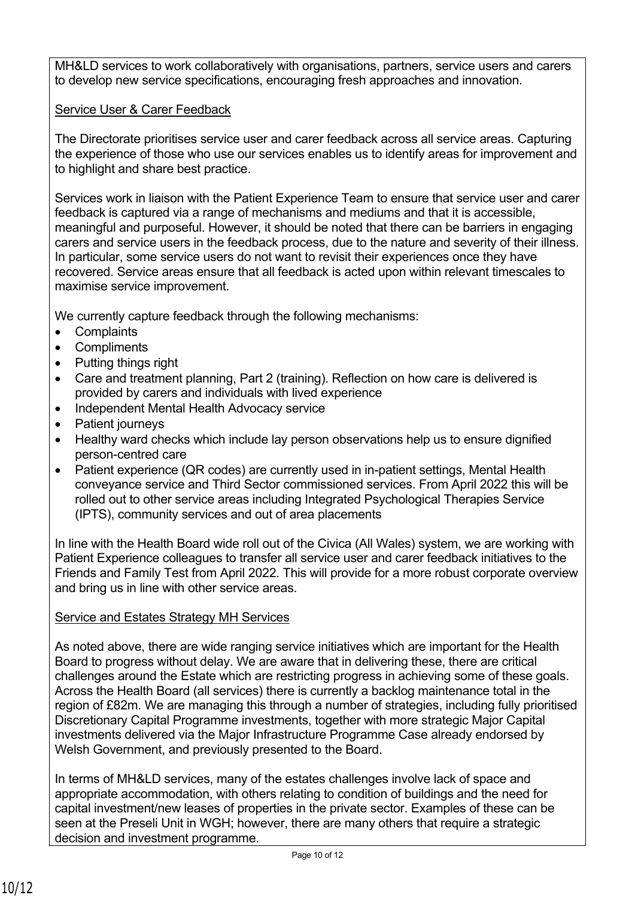MH&LD services to work collaboratively with organisations, partners, service users and carers to develop new service specifications, encouraging fresh approaches and innovation.

# Service User & Carer Feedback

The Directorate prioritises service user and carer feedback across all service areas. Capturing the experience of those who use our services enables us to identify areas for improvement and to highlight and share best practice.

Services work in liaison with the Patient Experience Team to ensure that service user and carer feedback is captured via a range of mechanisms and mediums and that it is accessible, meaningful and purposeful. However, it should be noted that there can be barriers in engaging carers and service users in the feedback process, due to the nature and severity of their illness. In particular, some service users do not want to revisit their experiences once they have recovered. Service areas ensure that all feedback is acted upon within relevant timescales to maximise service improvement.

We currently capture feedback through the following mechanisms:

- Complaints
- Compliments
- Putting things right
- Care and treatment planning, Part 2 (training). Reflection on how care is delivered is provided by carers and individuals with lived experience
- Independent Mental Health Advocacy service
- Patient journeys
- Healthy ward checks which include lay person observations help us to ensure dignified person-centred care
- Patient experience (QR codes) are currently used in in-patient settings, Mental Health conveyance service and Third Sector commissioned services. From April 2022 this will be rolled out to other service areas including Integrated Psychological Therapies Service (IPTS), community services and out of area placements

In line with the Health Board wide roll out of the Civica (All Wales) system, we are working with Patient Experience colleagues to transfer all service user and carer feedback initiatives to the Friends and Family Test from April 2022. This will provide for a more robust corporate overview and bring us in line with other service areas.

# Service and Estates Strategy MH Services

As noted above, there are wide ranging service initiatives which are important for the Health Board to progress without delay. We are aware that in delivering these, there are critical challenges around the Estate which are restricting progress in achieving some of these goals. Across the Health Board (all services) there is currently a backlog maintenance total in the region of £82m. We are managing this through a number of strategies, including fully prioritised Discretionary Capital Programme investments, together with more strategic Major Capital investments delivered via the Major Infrastructure Programme Case already endorsed by Welsh Government, and previously presented to the Board.

In terms of MH&LD services, many of the estates challenges involve lack of space and appropriate accommodation, with others relating to condition of buildings and the need for capital investment/new leases of properties in the private sector. Examples of these can be seen at the Preseli Unit in WGH; however, there are many others that require a strategic decision and investment programme.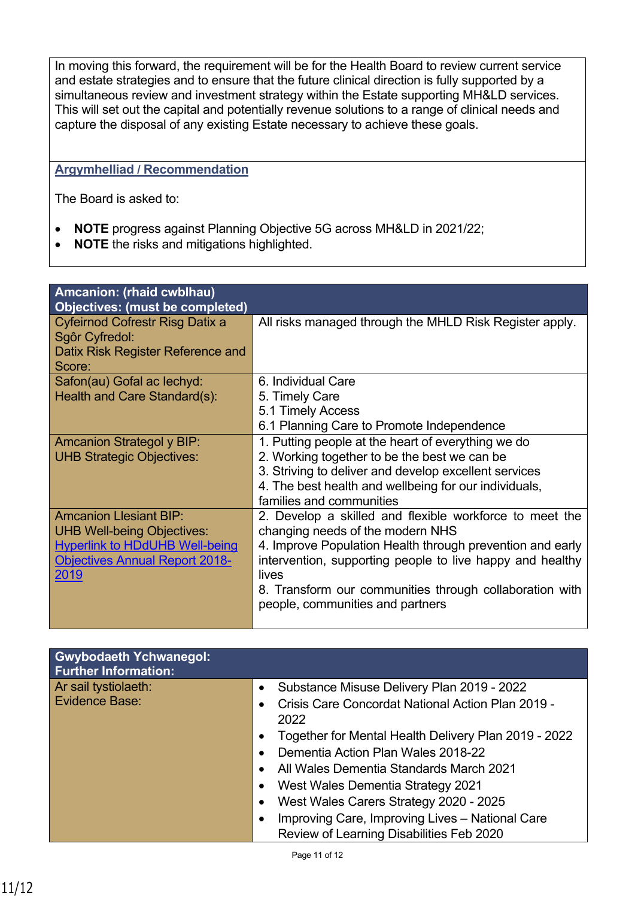In moving this forward, the requirement will be for the Health Board to review current service and estate strategies and to ensure that the future clinical direction is fully supported by a simultaneous review and investment strategy within the Estate supporting MH&LD services. This will set out the capital and potentially revenue solutions to a range of clinical needs and capture the disposal of any existing Estate necessary to achieve these goals.

### **Argymhelliad / Recommendation**

The Board is asked to:

- **NOTE** progress against Planning Objective 5G across MH&LD in 2021/22;
- **NOTE** the risks and mitigations highlighted.

| Amcanion: (rhaid cwblhau)                         |                                                           |
|---------------------------------------------------|-----------------------------------------------------------|
| <b>Objectives: (must be completed)</b>            |                                                           |
| Cyfeirnod Cofrestr Risg Datix a<br>Sgôr Cyfredol: | All risks managed through the MHLD Risk Register apply.   |
| Datix Risk Register Reference and                 |                                                           |
| Score:                                            |                                                           |
| Safon(au) Gofal ac lechyd:                        | 6. Individual Care                                        |
| Health and Care Standard(s):                      | 5. Timely Care                                            |
|                                                   | 5.1 Timely Access                                         |
|                                                   | 6.1 Planning Care to Promote Independence                 |
| <b>Amcanion Strategol y BIP:</b>                  | 1. Putting people at the heart of everything we do        |
| <b>UHB Strategic Objectives:</b>                  | 2. Working together to be the best we can be              |
|                                                   | 3. Striving to deliver and develop excellent services     |
|                                                   | 4. The best health and wellbeing for our individuals,     |
|                                                   | families and communities                                  |
| <b>Amcanion Llesiant BIP:</b>                     | 2. Develop a skilled and flexible workforce to meet the   |
| <b>UHB Well-being Objectives:</b>                 | changing needs of the modern NHS                          |
| <b>Hyperlink to HDdUHB Well-being</b>             | 4. Improve Population Health through prevention and early |
| <b>Objectives Annual Report 2018-</b>             | intervention, supporting people to live happy and healthy |
| 2019                                              | lives                                                     |
|                                                   | 8. Transform our communities through collaboration with   |
|                                                   | people, communities and partners                          |
|                                                   |                                                           |

| <b>Gwybodaeth Ychwanegol:</b><br><b>Further Information:</b> |                                                                   |
|--------------------------------------------------------------|-------------------------------------------------------------------|
| Ar sail tystiolaeth:                                         | Substance Misuse Delivery Plan 2019 - 2022                        |
| Evidence Base:                                               | Crisis Care Concordat National Action Plan 2019 -<br>2022         |
|                                                              | Together for Mental Health Delivery Plan 2019 - 2022<br>$\bullet$ |
|                                                              | Dementia Action Plan Wales 2018-22                                |
|                                                              | All Wales Dementia Standards March 2021                           |
|                                                              | West Wales Dementia Strategy 2021                                 |
|                                                              | West Wales Carers Strategy 2020 - 2025<br>$\bullet$               |
|                                                              | Improving Care, Improving Lives - National Care<br>$\bullet$      |
|                                                              | Review of Learning Disabilities Feb 2020                          |